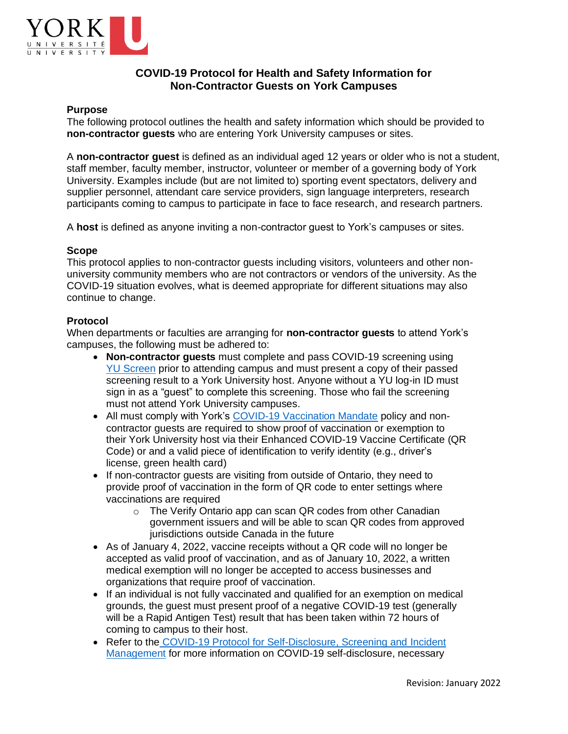

# **COVID-19 Protocol for Health and Safety Information for Non-Contractor Guests on York Campuses**

## **Purpose**

The following protocol outlines the health and safety information which should be provided to **non-contractor guests** who are entering York University campuses or sites.

A **non-contractor guest** is defined as an individual aged 12 years or older who is not a student, staff member, faculty member, instructor, volunteer or member of a governing body of York University. Examples include (but are not limited to) sporting event spectators, delivery and supplier personnel, attendant care service providers, sign language interpreters, research participants coming to campus to participate in face to face research, and research partners.

A **host** is defined as anyone inviting a non-contractor guest to York's campuses or sites.

### **Scope**

This protocol applies to non-contractor guests including visitors, volunteers and other nonuniversity community members who are not contractors or vendors of the university. As the COVID-19 situation evolves, what is deemed appropriate for different situations may also continue to change.

### **Protocol**

When departments or faculties are arranging for **non-contractor guests** to attend York's campuses, the following must be adhered to:

- **Non-contractor guests** must complete and pass COVID-19 screening using [YU Screen](https://yorku.ubixhealth.com/login) prior to attending campus and must present a copy of their passed screening result to a York University host. Anyone without a YU log-in ID must sign in as a "guest" to complete this screening. Those who fail the screening must not attend York University campuses.
- All must comply with York's [COVID-19 Vaccination Mandate](https://www.yorku.ca/secretariat/policies/policies/covid-19-vaccination-mandate/) policy and noncontractor guests are required to show proof of vaccination or exemption to their York University host via their Enhanced COVID-19 Vaccine Certificate (QR Code) or and a valid piece of identification to verify identity (e.g., driver's license, green health card)
- If non-contractor guests are visiting from outside of Ontario, they need to provide proof of vaccination in the form of QR code to enter settings where vaccinations are required
	- o The Verify Ontario app can scan QR codes from other Canadian government issuers and will be able to scan QR codes from approved jurisdictions outside Canada in the future
- As of January 4, 2022, vaccine receipts without a QR code will no longer be accepted as valid proof of vaccination, and as of January 10, 2022, a written medical exemption will no longer be accepted to access businesses and organizations that require proof of vaccination.
- If an individual is not fully vaccinated and qualified for an exemption on medical grounds, the guest must present proof of a negative COVID-19 test (generally will be a Rapid Antigen Test) result that has been taken within 72 hours of coming to campus to their host.
- Refer to the [COVID-19 Protocol for Self-Disclosure, Screening and](https://yulink-new.yorku.ca/documents/20182/12787045/COVID-19+Self+disclosure+screening+and+incident+mgmt/1962346f-adf9-4f35-b6d8-b27a91f8d98a) Incident [Management](https://yulink-new.yorku.ca/documents/20182/12787045/COVID-19+Self+disclosure+screening+and+incident+mgmt/1962346f-adf9-4f35-b6d8-b27a91f8d98a) for more information on COVID-19 self-disclosure, necessary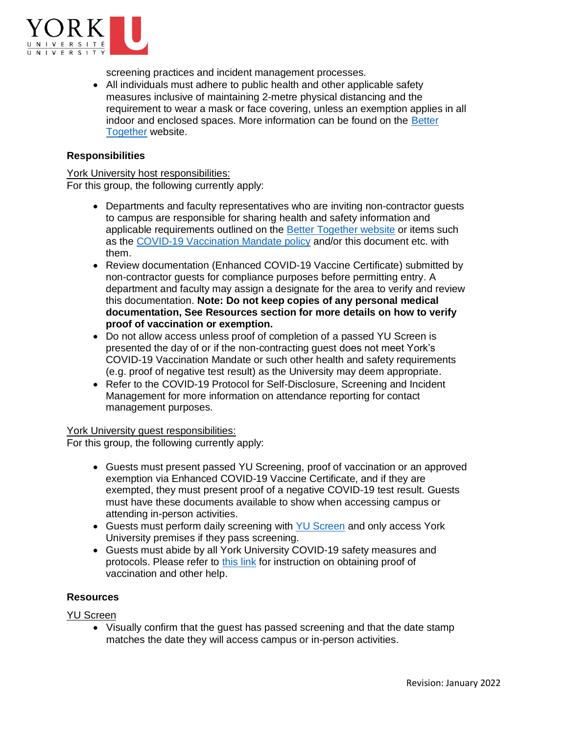

screening practices and incident management processes.

• All individuals must adhere to public health and other applicable safety measures inclusive of maintaining 2-metre physical distancing and the requirement to wear a mask or face covering, unless an exemption applies in all indoor and enclosed spaces. More information can be found on the [Better](https://www.yorku.ca/bettertogether/)  [Together](https://www.yorku.ca/bettertogether/) website.

## **Responsibilities**

York University host responsibilities: For this group, the following currently apply:

- Departments and faculty representatives who are inviting non-contractor guests to campus are responsible for sharing health and safety information and applicable requirements outlined on the [Better Together website](https://www.yorku.ca/bettertogether/) or items such as the [COVID-19 Vaccination Mandate](https://www.yorku.ca/secretariat/policies/policies/covid-19-vaccination-mandate/) policy and/or this document etc. with them.
- Review documentation (Enhanced COVID-19 Vaccine Certificate) submitted by non-contractor guests for compliance purposes before permitting entry. A department and faculty may assign a designate for the area to verify and review this documentation. **Note: Do not keep copies of any personal medical documentation, See Resources section for more details on how to verify proof of vaccination or exemption.**
- Do not allow access unless proof of completion of a passed YU Screen is presented the day of or if the non-contracting guest does not meet York's COVID-19 Vaccination Mandate or such other health and safety requirements (e.g. proof of negative test result) as the University may deem appropriate.
- Refer to the COVID-19 Protocol for Self-Disclosure, Screening and Incident Management for more information on attendance reporting for contact management purposes.

#### York University guest responsibilities:

For this group, the following currently apply:

- Guests must present passed YU Screening, proof of vaccination or an approved exemption via Enhanced COVID-19 Vaccine Certificate, and if they are exempted, they must present proof of a negative COVID-19 test result. Guests must have these documents available to show when accessing campus or attending in-person activities.
- Guests must perform daily screening with [YU Screen](https://yorku.ubixhealth.com/login) and only access York University premises if they pass screening.
- Guests must abide by all York University COVID-19 safety measures and protocols. Please refer to [this link](https://covid-19.ontario.ca/vaccine-proof-help) for instruction on obtaining proof of vaccination and other help.

#### **Resources**

YU Screen

• Visually confirm that the guest has passed screening and that the date stamp matches the date they will access campus or in-person activities.